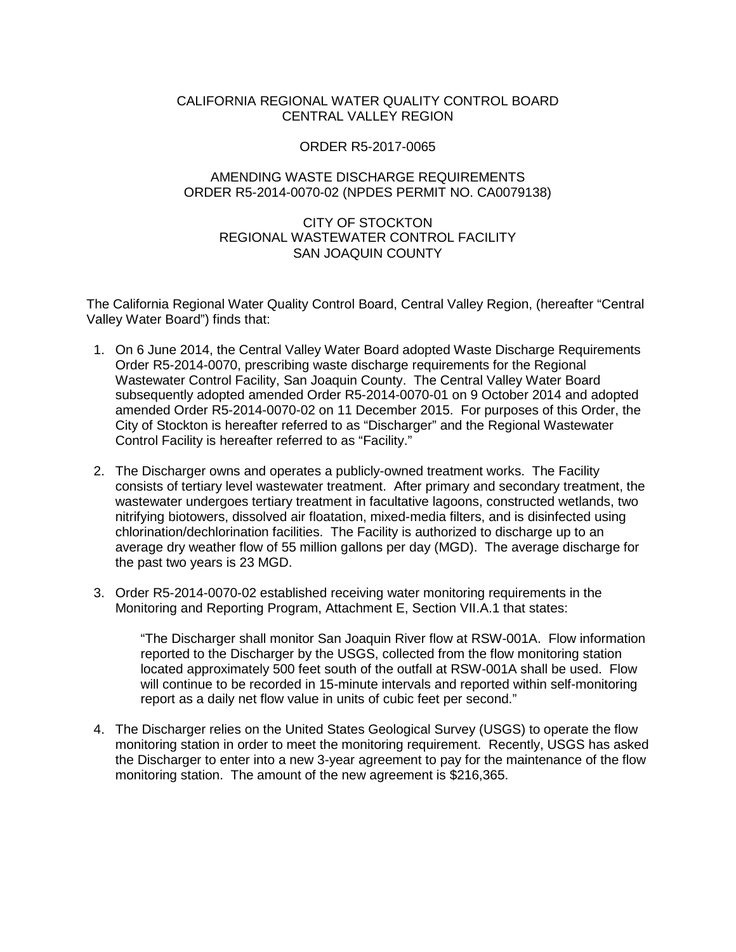# CALIFORNIA REGIONAL WATER QUALITY CONTROL BOARD CENTRAL VALLEY REGION

### ORDER R5-2017-0065

# AMENDING WASTE DISCHARGE REQUIREMENTS ORDER R5-2014-0070-02 (NPDES PERMIT NO. CA0079138)

# CITY OF STOCKTON REGIONAL WASTEWATER CONTROL FACILITY SAN JOAQUIN COUNTY

The California Regional Water Quality Control Board, Central Valley Region, (hereafter "Central Valley Water Board") finds that:

- 1. On 6 June 2014, the Central Valley Water Board adopted Waste Discharge Requirements Order R5-2014-0070, prescribing waste discharge requirements for the Regional Wastewater Control Facility, San Joaquin County. The Central Valley Water Board subsequently adopted amended Order R5-2014-0070-01 on 9 October 2014 and adopted amended Order R5-2014-0070-02 on 11 December 2015. For purposes of this Order, the City of Stockton is hereafter referred to as "Discharger" and the Regional Wastewater Control Facility is hereafter referred to as "Facility."
- 2. The Discharger owns and operates a publicly-owned treatment works. The Facility consists of tertiary level wastewater treatment. After primary and secondary treatment, the wastewater undergoes tertiary treatment in facultative lagoons, constructed wetlands, two nitrifying biotowers, dissolved air floatation, mixed-media filters, and is disinfected using chlorination/dechlorination facilities. The Facility is authorized to discharge up to an average dry weather flow of 55 million gallons per day (MGD). The average discharge for the past two years is 23 MGD.
- 3. Order R5-2014-0070-02 established receiving water monitoring requirements in the Monitoring and Reporting Program, Attachment E, Section VII.A.1 that states:

"The Discharger shall monitor San Joaquin River flow at RSW-001A. Flow information reported to the Discharger by the USGS, collected from the flow monitoring station located approximately 500 feet south of the outfall at RSW-001A shall be used. Flow will continue to be recorded in 15-minute intervals and reported within self-monitoring report as a daily net flow value in units of cubic feet per second."

4. The Discharger relies on the United States Geological Survey (USGS) to operate the flow monitoring station in order to meet the monitoring requirement. Recently, USGS has asked the Discharger to enter into a new 3-year agreement to pay for the maintenance of the flow monitoring station. The amount of the new agreement is \$216,365.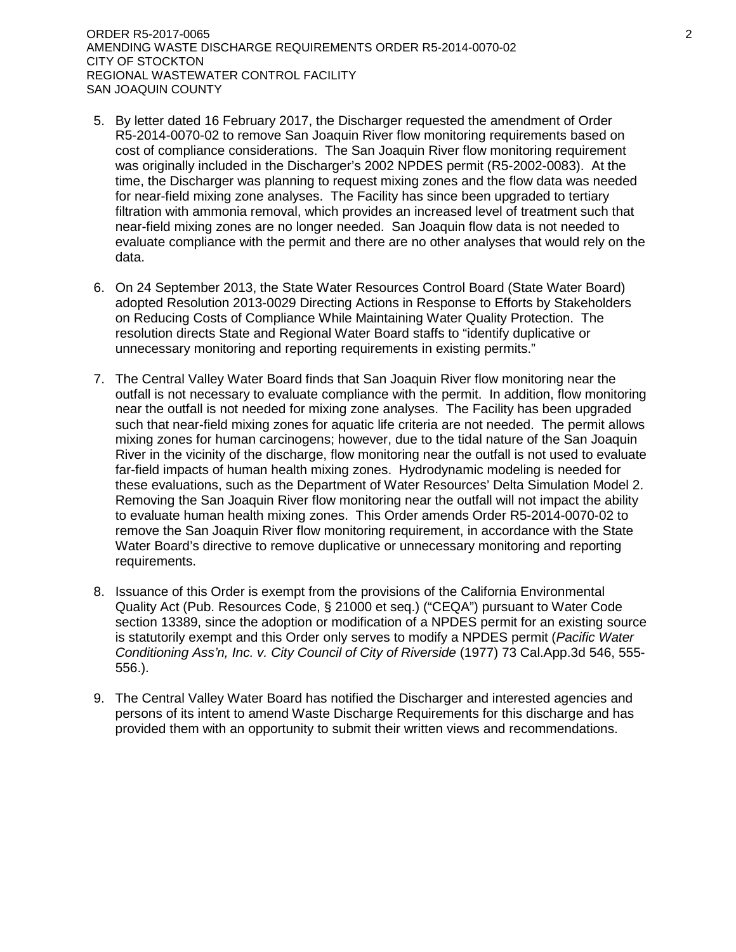ORDER R5-2017-0065 2 AMENDING WASTE DISCHARGE REQUIREMENTS ORDER R5-2014-0070-02 CITY OF STOCKTON REGIONAL WASTEWATER CONTROL FACILITY SAN JOAQUIN COUNTY

- 5. By letter dated 16 February 2017, the Discharger requested the amendment of Order R5-2014-0070-02 to remove San Joaquin River flow monitoring requirements based on cost of compliance considerations. The San Joaquin River flow monitoring requirement was originally included in the Discharger's 2002 NPDES permit (R5-2002-0083). At the time, the Discharger was planning to request mixing zones and the flow data was needed for near-field mixing zone analyses. The Facility has since been upgraded to tertiary filtration with ammonia removal, which provides an increased level of treatment such that near-field mixing zones are no longer needed. San Joaquin flow data is not needed to evaluate compliance with the permit and there are no other analyses that would rely on the data.
- 6. On 24 September 2013, the State Water Resources Control Board (State Water Board) adopted Resolution 2013-0029 Directing Actions in Response to Efforts by Stakeholders on Reducing Costs of Compliance While Maintaining Water Quality Protection. The resolution directs State and Regional Water Board staffs to "identify duplicative or unnecessary monitoring and reporting requirements in existing permits."
- 7. The Central Valley Water Board finds that San Joaquin River flow monitoring near the outfall is not necessary to evaluate compliance with the permit. In addition, flow monitoring near the outfall is not needed for mixing zone analyses. The Facility has been upgraded such that near-field mixing zones for aquatic life criteria are not needed. The permit allows mixing zones for human carcinogens; however, due to the tidal nature of the San Joaquin River in the vicinity of the discharge, flow monitoring near the outfall is not used to evaluate far-field impacts of human health mixing zones. Hydrodynamic modeling is needed for these evaluations, such as the Department of Water Resources' Delta Simulation Model 2. Removing the San Joaquin River flow monitoring near the outfall will not impact the ability to evaluate human health mixing zones. This Order amends Order R5-2014-0070-02 to remove the San Joaquin River flow monitoring requirement, in accordance with the State Water Board's directive to remove duplicative or unnecessary monitoring and reporting requirements.
- 8. Issuance of this Order is exempt from the provisions of the California Environmental Quality Act (Pub. Resources Code, § 21000 et seq.) ("CEQA") pursuant to Water Code section 13389, since the adoption or modification of a NPDES permit for an existing source is statutorily exempt and this Order only serves to modify a NPDES permit (*Pacific Water Conditioning Ass'n, Inc. v. City Council of City of Riverside* (1977) 73 Cal.App.3d 546, 555- 556.).
- 9. The Central Valley Water Board has notified the Discharger and interested agencies and persons of its intent to amend Waste Discharge Requirements for this discharge and has provided them with an opportunity to submit their written views and recommendations.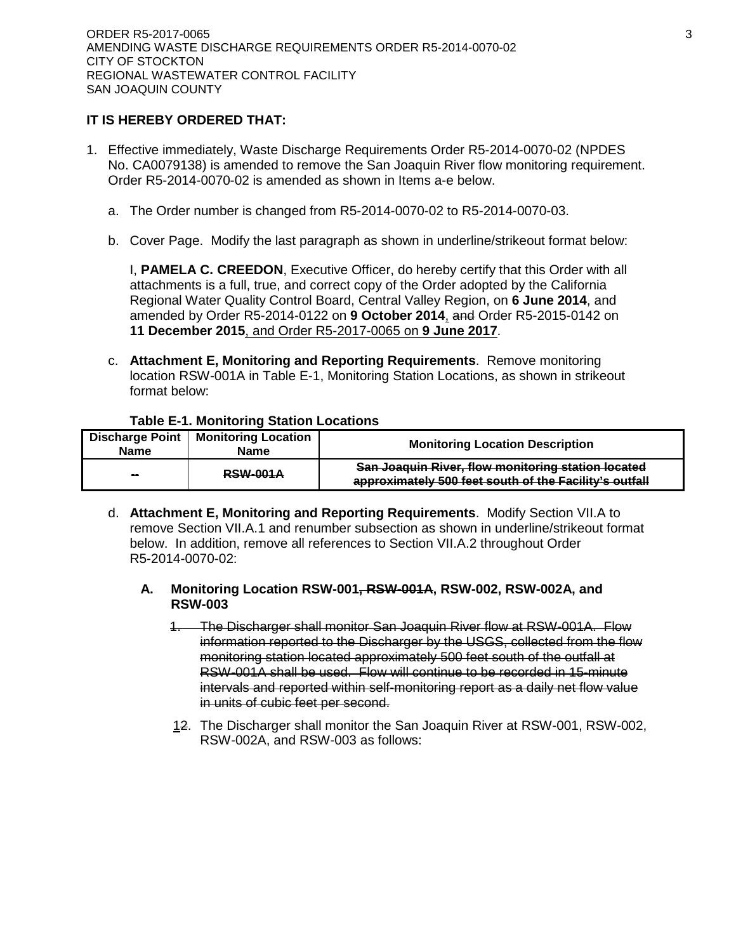### **IT IS HEREBY ORDERED THAT:**

- 1. Effective immediately, Waste Discharge Requirements Order R5-2014-0070-02 (NPDES No. CA0079138) is amended to remove the San Joaquin River flow monitoring requirement. Order R5-2014-0070-02 is amended as shown in Items a-e below.
	- a. The Order number is changed from R5-2014-0070-02 to R5-2014-0070-03.
	- b. Cover Page. Modify the last paragraph as shown in underline/strikeout format below:

I, **PAMELA C. CREEDON**, Executive Officer, do hereby certify that this Order with all attachments is a full, true, and correct copy of the Order adopted by the California Regional Water Quality Control Board, Central Valley Region, on **6 June 2014**, and amended by Order R5-2014-0122 on **9 October 2014**, and Order R5-2015-0142 on **11 December 2015**, and Order R5-2017-0065 on **9 June 2017**.

c. **Attachment E, Monitoring and Reporting Requirements**. Remove monitoring location RSW-001A in Table E-1, Monitoring Station Locations, as shown in strikeout format below:

### **Table E-1. Monitoring Station Locations**

| Discharge Point<br><b>Name</b> | <b>Monitoring Location</b><br><b>Name</b> | <b>Monitoring Location Description</b>                                                                       |
|--------------------------------|-------------------------------------------|--------------------------------------------------------------------------------------------------------------|
| $\sim$                         | <b>RSW-001A</b>                           | San Joaquin River, flow monitoring station located<br>approximately 500 feet south of the Facility's outfall |

d. **Attachment E, Monitoring and Reporting Requirements**. Modify Section VII.A to remove Section VII.A.1 and renumber subsection as shown in underline/strikeout format below. In addition, remove all references to Section VII.A.2 throughout Order R5-2014-0070-02:

#### **A. Monitoring Location RSW-001, RSW-001A, RSW-002, RSW-002A, and RSW-003**

- 1. The Discharger shall monitor San Joaquin River flow at RSW-001A. Flow information reported to the Discharger by the USGS, collected from the flow monitoring station located approximately 500 feet south of the outfall at RSW-001A shall be used. Flow will continue to be recorded in 15-minute intervals and reported within self-monitoring report as a daily net flow value in units of cubic feet per second.
- 12. The Discharger shall monitor the San Joaquin River at RSW-001, RSW-002, RSW-002A, and RSW-003 as follows: